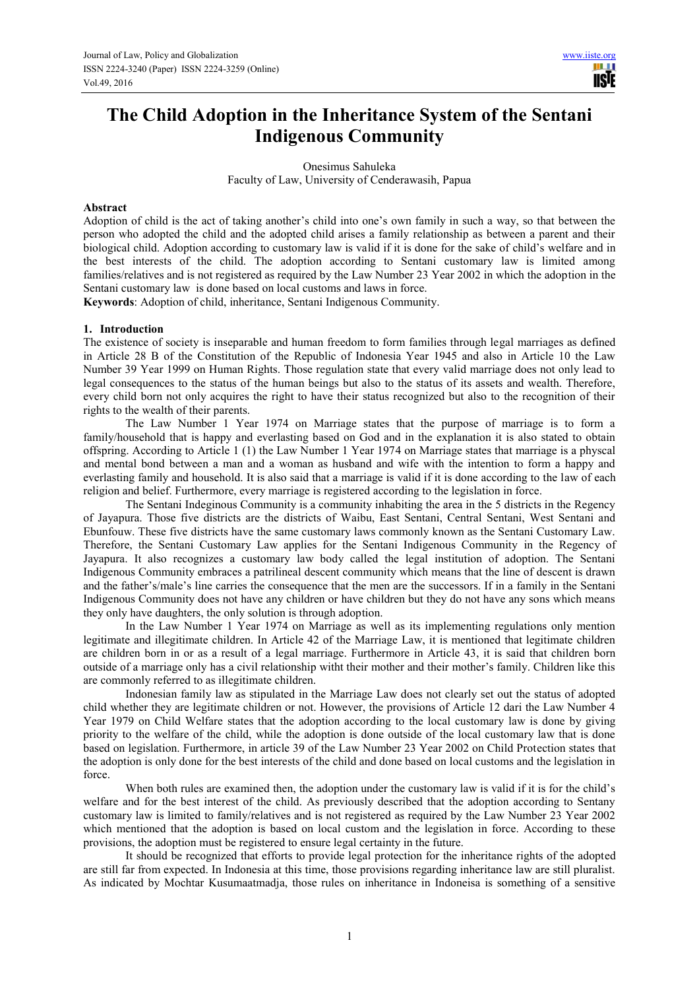**TRIF** 

# **The Child Adoption in the Inheritance System of the Sentani Indigenous Community**

Onesimus Sahuleka Faculty of Law, University of Cenderawasih, Papua

#### **Abstract**

Adoption of child is the act of taking another's child into one's own family in such a way, so that between the person who adopted the child and the adopted child arises a family relationship as between a parent and their biological child. Adoption according to customary law is valid if it is done for the sake of child's welfare and in the best interests of the child. The adoption according to Sentani customary law is limited among families/relatives and is not registered as required by the Law Number 23 Year 2002 in which the adoption in the Sentani customary law is done based on local customs and laws in force.

**Keywords**: Adoption of child, inheritance, Sentani Indigenous Community.

#### **1. Introduction**

The existence of society is inseparable and human freedom to form families through legal marriages as defined in Article 28 B of the Constitution of the Republic of Indonesia Year 1945 and also in Article 10 the Law Number 39 Year 1999 on Human Rights. Those regulation state that every valid marriage does not only lead to legal consequences to the status of the human beings but also to the status of its assets and wealth. Therefore, every child born not only acquires the right to have their status recognized but also to the recognition of their rights to the wealth of their parents.

The Law Number 1 Year 1974 on Marriage states that the purpose of marriage is to form a family/household that is happy and everlasting based on God and in the explanation it is also stated to obtain offspring. According to Article 1 (1) the Law Number 1 Year 1974 on Marriage states that marriage is a physcal and mental bond between a man and a woman as husband and wife with the intention to form a happy and everlasting family and household. It is also said that a marriage is valid if it is done according to the law of each religion and belief. Furthermore, every marriage is registered according to the legislation in force.

The Sentani Indeginous Community is a community inhabiting the area in the 5 districts in the Regency of Jayapura. Those five districts are the districts of Waibu, East Sentani, Central Sentani, West Sentani and Ebunfouw. These five districts have the same customary laws commonly known as the Sentani Customary Law. Therefore, the Sentani Customary Law applies for the Sentani Indigenous Community in the Regency of Jayapura. It also recognizes a customary law body called the legal institution of adoption. The Sentani Indigenous Community embraces a patrilineal descent community which means that the line of descent is drawn and the father's/male's line carries the consequence that the men are the successors. If in a family in the Sentani Indigenous Community does not have any children or have children but they do not have any sons which means they only have daughters, the only solution is through adoption.

In the Law Number 1 Year 1974 on Marriage as well as its implementing regulations only mention legitimate and illegitimate children. In Article 42 of the Marriage Law, it is mentioned that legitimate children are children born in or as a result of a legal marriage. Furthermore in Article 43, it is said that children born outside of a marriage only has a civil relationship witht their mother and their mother's family. Children like this are commonly referred to as illegitimate children.

Indonesian family law as stipulated in the Marriage Law does not clearly set out the status of adopted child whether they are legitimate children or not. However, the provisions of Article 12 dari the Law Number 4 Year 1979 on Child Welfare states that the adoption according to the local customary law is done by giving priority to the welfare of the child, while the adoption is done outside of the local customary law that is done based on legislation. Furthermore, in article 39 of the Law Number 23 Year 2002 on Child Protection states that the adoption is only done for the best interests of the child and done based on local customs and the legislation in force.

When both rules are examined then, the adoption under the customary law is valid if it is for the child's welfare and for the best interest of the child. As previously described that the adoption according to Sentany customary law is limited to family/relatives and is not registered as required by the Law Number 23 Year 2002 which mentioned that the adoption is based on local custom and the legislation in force. According to these provisions, the adoption must be registered to ensure legal certainty in the future.

It should be recognized that efforts to provide legal protection for the inheritance rights of the adopted are still far from expected. In Indonesia at this time, those provisions regarding inheritance law are still pluralist. As indicated by Mochtar Kusumaatmadja, those rules on inheritance in Indoneisa is something of a sensitive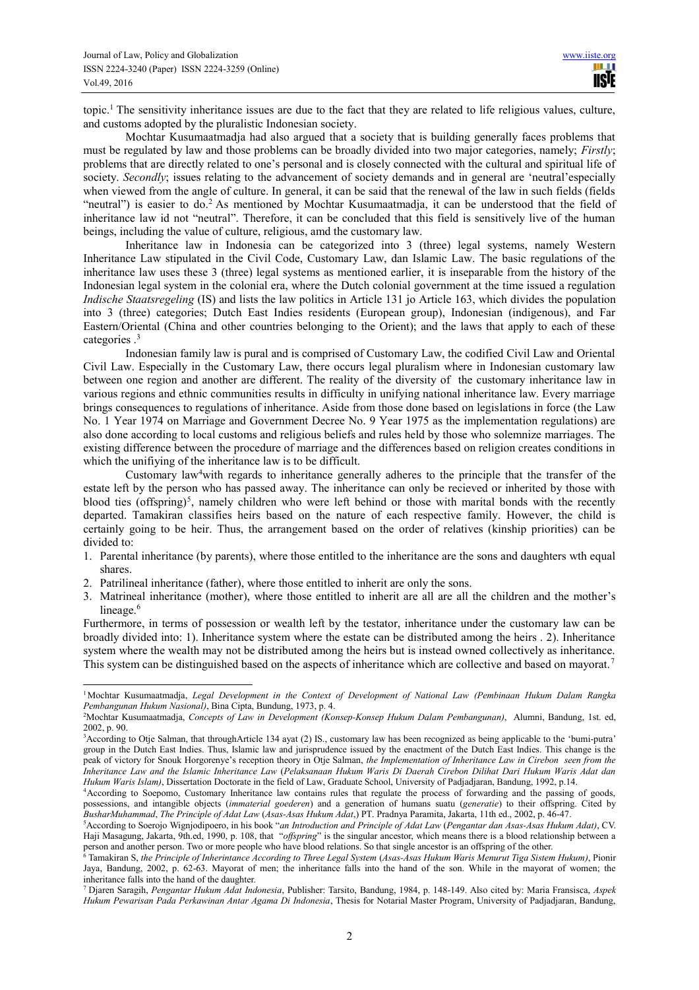topic.<sup>1</sup> The sensitivity inheritance issues are due to the fact that they are related to life religious values, culture, and customs adopted by the pluralistic Indonesian society.

Mochtar Kusumaatmadja had also argued that a society that is building generally faces problems that must be regulated by law and those problems can be broadly divided into two major categories, namely; *Firstly*; problems that are directly related to one's personal and is closely connected with the cultural and spiritual life of society. *Secondly*; issues relating to the advancement of society demands and in general are 'neutral'especially when viewed from the angle of culture. In general, it can be said that the renewal of the law in such fields (fields "neutral") is easier to do.<sup>2</sup> As mentioned by Mochtar Kusumaatmadja, it can be understood that the field of inheritance law id not "neutral". Therefore, it can be concluded that this field is sensitively live of the human beings, including the value of culture, religious, amd the customary law.

Inheritance law in Indonesia can be categorized into 3 (three) legal systems, namely Western Inheritance Law stipulated in the Civil Code, Customary Law, dan Islamic Law. The basic regulations of the inheritance law uses these 3 (three) legal systems as mentioned earlier, it is inseparable from the history of the Indonesian legal system in the colonial era, where the Dutch colonial government at the time issued a regulation *Indische Staatsregeling* (IS) and lists the law politics in Article 131 jo Article 163, which divides the population into 3 (three) categories; Dutch East Indies residents (European group), Indonesian (indigenous), and Far Eastern/Oriental (China and other countries belonging to the Orient); and the laws that apply to each of these categories .<sup>3</sup>

Indonesian family law is pural and is comprised of Customary Law, the codified Civil Law and Oriental Civil Law. Especially in the Customary Law, there occurs legal pluralism where in Indonesian customary law between one region and another are different. The reality of the diversity of the customary inheritance law in various regions and ethnic communities results in difficulty in unifying national inheritance law. Every marriage brings consequences to regulations of inheritance. Aside from those done based on legislations in force (the Law No. 1 Year 1974 on Marriage and Government Decree No. 9 Year 1975 as the implementation regulations) are also done according to local customs and religious beliefs and rules held by those who solemnize marriages. The existing difference between the procedure of marriage and the differences based on religion creates conditions in which the unifiying of the inheritance law is to be difficult.

Customary law<sup>4</sup>with regards to inheritance generally adheres to the principle that the transfer of the estate left by the person who has passed away. The inheritance can only be recieved or inherited by those with blood ties (offspring)<sup>5</sup>, namely children who were left behind or those with marital bonds with the recently departed. Tamakiran classifies heirs based on the nature of each respective family. However, the child is certainly going to be heir. Thus, the arrangement based on the order of relatives (kinship priorities) can be divided to:

- 1. Parental inheritance (by parents), where those entitled to the inheritance are the sons and daughters wth equal shares.
- 2. Patrilineal inheritance (father), where those entitled to inherit are only the sons.

 $\overline{a}$ 

3. Matrineal inheritance (mother), where those entitled to inherit are all are all the children and the mother's lineage.<sup>6</sup>

Furthermore, in terms of possession or wealth left by the testator, inheritance under the customary law can be broadly divided into: 1). Inheritance system where the estate can be distributed among the heirs . 2). Inheritance system where the wealth may not be distributed among the heirs but is instead owned collectively as inheritance. This system can be distinguished based on the aspects of inheritance which are collective and based on mayorat.<sup>7</sup>

<sup>1</sup>Mochtar Kusumaatmadja, *Legal Development in the Context of Development of National Law (Pembinaan Hukum Dalam Rangka Pembangunan Hukum Nasional)*, Bina Cipta, Bundung, 1973, p. 4.

<sup>2</sup>Mochtar Kusumaatmadja, *Concepts of Law in Development (Konsep-Konsep Hukum Dalam Pembangunan)*, Alumni, Bandung, 1st. ed, 2002, p. 90.

<sup>3</sup>According to Otje Salman, that throughArticle 134 ayat (2) IS., customary law has been recognized as being applicable to the 'bumi-putra' group in the Dutch East Indies. Thus, Islamic law and jurisprudence issued by the enactment of the Dutch East Indies. This change is the peak of victory for Snouk Horgorenye's reception theory in Otje Salman, *the Implementation of Inheritance Law in Cirebon seen from the Inheritance Law and the Islamic Inheritance Law* (*Pelaksanaan Hukum Waris Di Daerah Cirebon Dilihat Dari Hukum Waris Adat dan Hukum Waris Islam)*, Dissertation Doctorate in the field of Law, Graduate School, University of Padjadjaran, Bandung, 1992, p.14.

<sup>4</sup>According to Soepomo, Customary Inheritance law contains rules that regulate the process of forwarding and the passing of goods, possessions, and intangible objects (*immaterial goederen*) and a generation of humans suatu (*generatie*) to their offspring. Cited by *BusharMuhammad*, *The Principle of Adat Law* (*Asas-Asas Hukum Adat*,) PT. Pradnya Paramita, Jakarta, 11th ed., 2002, p. 46-47.

<sup>5</sup>According to Soerojo Wignjodipoero, in his book "*an Introduction and Principle of Adat Law* (*Pengantar dan Asas-Asas Hukum Adat)*, CV. Haji Masagung, Jakarta, 9th.ed, 1990, p. 108, that "*offspring*" is the singular ancestor, which means there is a blood relationship between a person and another person. Two or more people who have blood relations. So that single ancestor is an offspring of the other.

<sup>&</sup>lt;sup>6</sup> Tamakiran S, *the Principle of Inherintance According to Three Legal System (Asas-Asas Hukum Waris Menurut Tiga Sistem Hukum)*, Pionir Jaya, Bandung, 2002, p. 62-63. Mayorat of men; the inheritance falls into the hand of the son. While in the mayorat of women; the inheritance falls into the hand of the daughter.

<sup>7</sup> Djaren Saragih, *Pengantar Hukum Adat Indonesia*, Publisher: Tarsito, Bandung, 1984, p. 148-149. Also cited by: Maria Fransisca, *Aspek Hukum Pewarisan Pada Perkawinan Antar Agama Di Indonesia*, Thesis for Notarial Master Program, University of Padjadjaran, Bandung,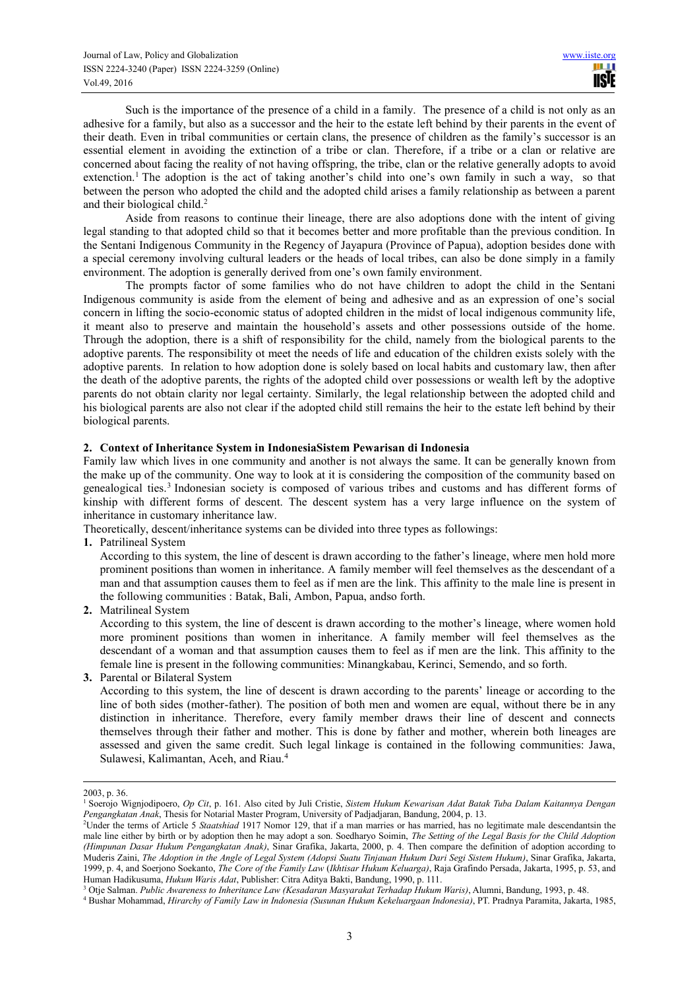Such is the importance of the presence of a child in a family. The presence of a child is not only as an adhesive for a family, but also as a successor and the heir to the estate left behind by their parents in the event of their death. Even in tribal communities or certain clans, the presence of children as the family's successor is an essential element in avoiding the extinction of a tribe or clan. Therefore, if a tribe or a clan or relative are concerned about facing the reality of not having offspring, the tribe, clan or the relative generally adopts to avoid extenction.<sup>1</sup> The adoption is the act of taking another's child into one's own family in such a way, so that between the person who adopted the child and the adopted child arises a family relationship as between a parent and their biological child.<sup>2</sup>

Aside from reasons to continue their lineage, there are also adoptions done with the intent of giving legal standing to that adopted child so that it becomes better and more profitable than the previous condition. In the Sentani Indigenous Community in the Regency of Jayapura (Province of Papua), adoption besides done with a special ceremony involving cultural leaders or the heads of local tribes, can also be done simply in a family environment. The adoption is generally derived from one's own family environment.

The prompts factor of some families who do not have children to adopt the child in the Sentani Indigenous community is aside from the element of being and adhesive and as an expression of one's social concern in lifting the socio-economic status of adopted children in the midst of local indigenous community life, it meant also to preserve and maintain the household's assets and other possessions outside of the home. Through the adoption, there is a shift of responsibility for the child, namely from the biological parents to the adoptive parents. The responsibility ot meet the needs of life and education of the children exists solely with the adoptive parents. In relation to how adoption done is solely based on local habits and customary law, then after the death of the adoptive parents, the rights of the adopted child over possessions or wealth left by the adoptive parents do not obtain clarity nor legal certainty. Similarly, the legal relationship between the adopted child and his biological parents are also not clear if the adopted child still remains the heir to the estate left behind by their biological parents.

#### **2. Context of Inheritance System in IndonesiaSistem Pewarisan di Indonesia**

Family law which lives in one community and another is not always the same. It can be generally known from the make up of the community. One way to look at it is considering the composition of the community based on genealogical ties.<sup>3</sup> Indonesian society is composed of various tribes and customs and has different forms of kinship with different forms of descent. The descent system has a very large influence on the system of inheritance in customary inheritance law.

Theoretically, descent/inheritance systems can be divided into three types as followings:

**1.** Patrilineal System

According to this system, the line of descent is drawn according to the father's lineage, where men hold more prominent positions than women in inheritance. A family member will feel themselves as the descendant of a man and that assumption causes them to feel as if men are the link. This affinity to the male line is present in the following communities : Batak, Bali, Ambon, Papua, andso forth.

**2.** Matrilineal System

According to this system, the line of descent is drawn according to the mother's lineage, where women hold more prominent positions than women in inheritance. A family member will feel themselves as the descendant of a woman and that assumption causes them to feel as if men are the link. This affinity to the female line is present in the following communities: Minangkabau, Kerinci, Semendo, and so forth.

**3.** Parental or Bilateral System

According to this system, the line of descent is drawn according to the parents' lineage or according to the line of both sides (mother-father). The position of both men and women are equal, without there be in any distinction in inheritance. Therefore, every family member draws their line of descent and connects themselves through their father and mother. This is done by father and mother, wherein both lineages are assessed and given the same credit. Such legal linkage is contained in the following communities: Jawa, Sulawesi, Kalimantan, Aceh, and Riau.<sup>4</sup>

 $\overline{a}$ 

<sup>2003,</sup> p. 36.

<sup>1</sup> Soerojo Wignjodipoero, *Op Cit*, p. 161. Also cited by Juli Cristie, *Sistem Hukum Kewarisan Adat Batak Tuba Dalam Kaitannya Dengan Pengangkatan Anak*, Thesis for Notarial Master Program, University of Padjadjaran, Bandung, 2004, p. 13.

<sup>2</sup>Under the terms of Article 5 *Staatshiad* 1917 Nomor 129, that if a man marries or has married, has no legitimate male descendantsin the male line either by birth or by adoption then he may adopt a son. Soedharyo Soimin, *The Setting of the Legal Basis for the Child Adoption (Himpunan Dasar Hukum Pengangkatan Anak)*, Sinar Grafika, Jakarta, 2000, p. 4. Then compare the definition of adoption according to Muderis Zaini, *The Adoption in the Angle of Legal System (Adopsi Suatu Tinjauan Hukum Dari Segi Sistem Hukum)*, Sinar Grafika, Jakarta, 1999, p. 4, and Soerjono Soekanto, *The Core of the Family Law* (*Ikhtisar Hukum Keluarga)*, Raja Grafindo Persada, Jakarta, 1995, p. 53, and Human Hadikusuma, *Hukum Waris Adat*, Publisher: Citra Aditya Bakti, Bandung, 1990, p. 111.

<sup>3</sup> Otje Salman. *Public Awareness to Inheritance Law (Kesadaran Masyarakat Terhadap Hukum Waris)*, Alumni, Bandung, 1993, p. 48.

<sup>4</sup> Bushar Mohammad, *Hirarchy of Family Law in Indonesia (Susunan Hukum Kekeluargaan Indonesia)*, PT. Pradnya Paramita, Jakarta, 1985,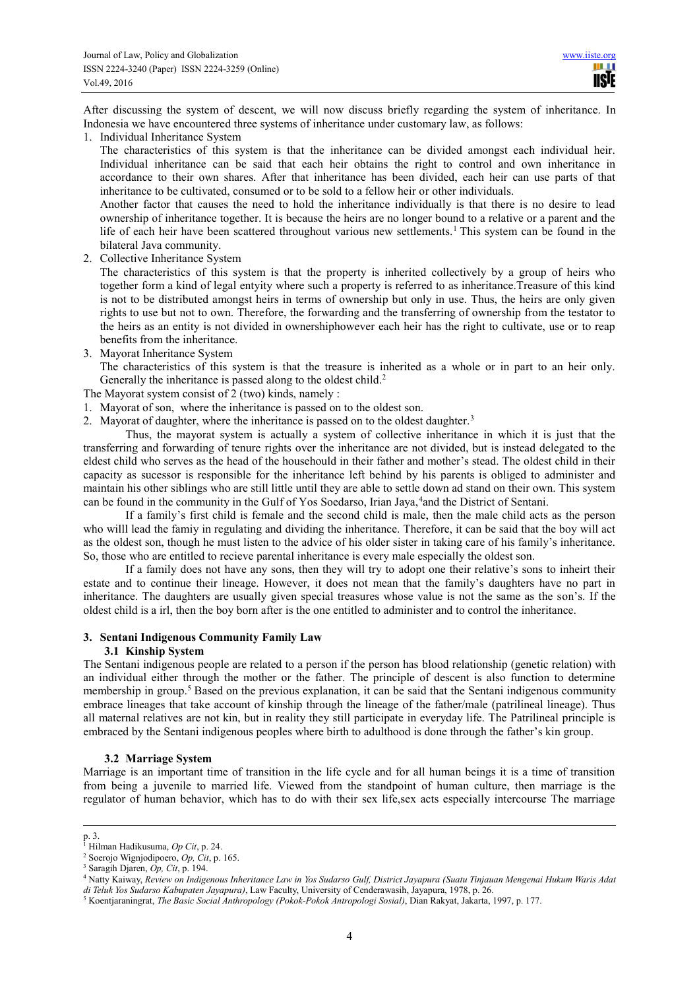After discussing the system of descent, we will now discuss briefly regarding the system of inheritance. In Indonesia we have encountered three systems of inheritance under customary law, as follows:

1. Individual Inheritance System

The characteristics of this system is that the inheritance can be divided amongst each individual heir. Individual inheritance can be said that each heir obtains the right to control and own inheritance in accordance to their own shares. After that inheritance has been divided, each heir can use parts of that inheritance to be cultivated, consumed or to be sold to a fellow heir or other individuals.

Another factor that causes the need to hold the inheritance individually is that there is no desire to lead ownership of inheritance together. It is because the heirs are no longer bound to a relative or a parent and the life of each heir have been scattered throughout various new settlements. 1 This system can be found in the bilateral Java community.

2. Collective Inheritance System

The characteristics of this system is that the property is inherited collectively by a group of heirs who together form a kind of legal entyity where such a property is referred to as inheritance.Treasure of this kind is not to be distributed amongst heirs in terms of ownership but only in use. Thus, the heirs are only given rights to use but not to own. Therefore, the forwarding and the transferring of ownership from the testator to the heirs as an entity is not divided in ownershiphowever each heir has the right to cultivate, use or to reap benefits from the inheritance.

3. Mayorat Inheritance System

The characteristics of this system is that the treasure is inherited as a whole or in part to an heir only. Generally the inheritance is passed along to the oldest child.<sup>2</sup>

The Mayorat system consist of 2 (two) kinds, namely :

- 1. Mayorat of son, where the inheritance is passed on to the oldest son.
- 2. Mayorat of daughter, where the inheritance is passed on to the oldest daughter.<sup>3</sup>

Thus, the mayorat system is actually a system of collective inheritance in which it is just that the transferring and forwarding of tenure rights over the inheritance are not divided, but is instead delegated to the eldest child who serves as the head of the househould in their father and mother's stead. The oldest child in their capacity as sucessor is responsible for the inheritance left behind by his parents is obliged to administer and maintain his other siblings who are still little until they are able to settle down ad stand on their own. This system can be found in the community in the Gulf of Yos Soedarso, Irian Jaya, <sup>4</sup> and the District of Sentani.

If a family's first child is female and the second child is male, then the male child acts as the person who willl lead the famiy in regulating and dividing the inheritance. Therefore, it can be said that the boy will act as the oldest son, though he must listen to the advice of his older sister in taking care of his family's inheritance. So, those who are entitled to recieve parental inheritance is every male especially the oldest son.

If a family does not have any sons, then they will try to adopt one their relative's sons to inheirt their estate and to continue their lineage. However, it does not mean that the family's daughters have no part in inheritance. The daughters are usually given special treasures whose value is not the same as the son's. If the oldest child is a irl, then the boy born after is the one entitled to administer and to control the inheritance.

# **3. Sentani Indigenous Community Family Law**

## **3.1 Kinship System**

The Sentani indigenous people are related to a person if the person has blood relationship (genetic relation) with an individual either through the mother or the father. The principle of descent is also function to determine membership in group.<sup>5</sup> Based on the previous explanation, it can be said that the Sentani indigenous community embrace lineages that take account of kinship through the lineage of the father/male (patrilineal lineage). Thus all maternal relatives are not kin, but in reality they still participate in everyday life. The Patrilineal principle is embraced by the Sentani indigenous peoples where birth to adulthood is done through the father's kin group.

# **3.2 Marriage System**

Marriage is an important time of transition in the life cycle and for all human beings it is a time of transition from being a juvenile to married life. Viewed from the standpoint of human culture, then marriage is the regulator of human behavior, which has to do with their sex life,sex acts especially intercourse The marriage

 $\overline{a}$ 

p. 3. 1 Hilman Hadikusuma, *Op Cit*, p. 24.

<sup>2</sup> Soerojo Wignjodipoero, *Op, Cit*, p. 165.

<sup>3</sup> Saragih Djaren, *Op, Cit*, p. 194.

<sup>4</sup> Natty Kaiway, *Review on Indigenous Inheritance Law in Yos Sudarso Gulf, District Jayapura (Suatu Tinjauan Mengenai Hukum Waris Adat di Teluk Yos Sudarso Kabupaten Jayapura)*, Law Faculty, University of Cenderawasih, Jayapura, 1978, p. 26.

<sup>5</sup> Koentjaraningrat, *The Basic Social Anthropology (Pokok-Pokok Antropologi Sosial)*, Dian Rakyat, Jakarta, 1997, p. 177.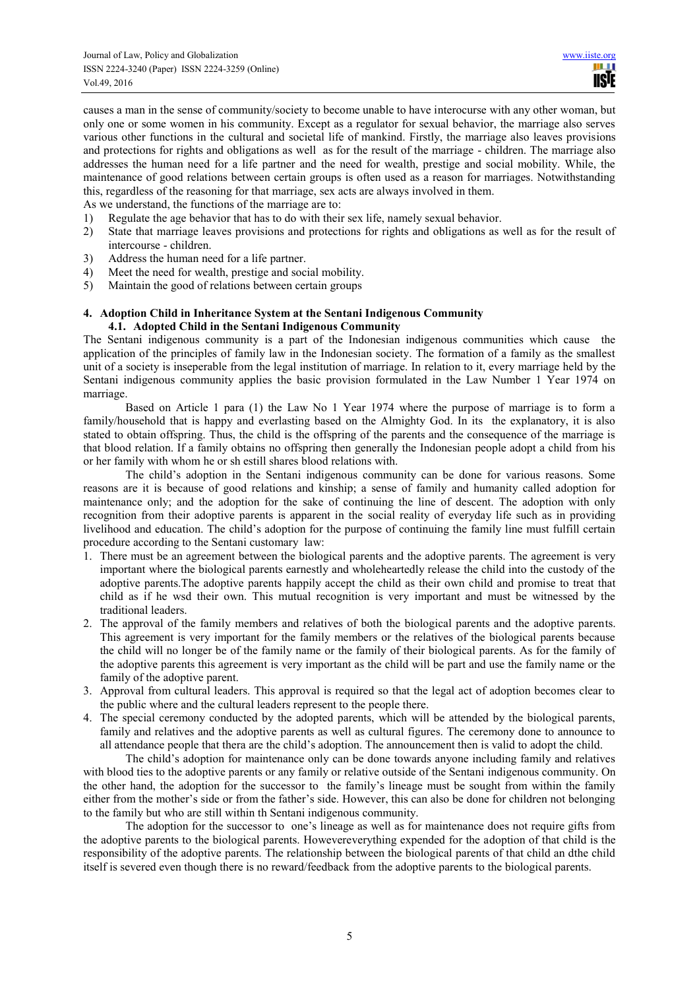causes a man in the sense of community/society to become unable to have interocurse with any other woman, but only one or some women in his community. Except as a regulator for sexual behavior, the marriage also serves various other functions in the cultural and societal life of mankind. Firstly, the marriage also leaves provisions and protections for rights and obligations as well as for the result of the marriage - children. The marriage also addresses the human need for a life partner and the need for wealth, prestige and social mobility. While, the maintenance of good relations between certain groups is often used as a reason for marriages. Notwithstanding this, regardless of the reasoning for that marriage, sex acts are always involved in them.

As we understand, the functions of the marriage are to:

- 1) Regulate the age behavior that has to do with their sex life, namely sexual behavior.
- 2) State that marriage leaves provisions and protections for rights and obligations as well as for the result of intercourse - children.
- 3) Address the human need for a life partner.
- 4) Meet the need for wealth, prestige and social mobility.
- 5) Maintain the good of relations between certain groups

## **4. Adoption Child in Inheritance System at the Sentani Indigenous Community 4.1. Adopted Child in the Sentani Indigenous Community**

The Sentani indigenous community is a part of the Indonesian indigenous communities which cause the application of the principles of family law in the Indonesian society. The formation of a family as the smallest unit of a society is inseperable from the legal institution of marriage. In relation to it, every marriage held by the Sentani indigenous community applies the basic provision formulated in the Law Number 1 Year 1974 on marriage.

Based on Article 1 para (1) the Law No 1 Year 1974 where the purpose of marriage is to form a family/household that is happy and everlasting based on the Almighty God. In its the explanatory, it is also stated to obtain offspring. Thus, the child is the offspring of the parents and the consequence of the marriage is that blood relation. If a family obtains no offspring then generally the Indonesian people adopt a child from his or her family with whom he or sh estill shares blood relations with.

The child's adoption in the Sentani indigenous community can be done for various reasons. Some reasons are it is because of good relations and kinship; a sense of family and humanity called adoption for maintenance only; and the adoption for the sake of continuing the line of descent. The adoption with only recognition from their adoptive parents is apparent in the social reality of everyday life such as in providing livelihood and education. The child's adoption for the purpose of continuing the family line must fulfill certain procedure according to the Sentani customary law:

- 1. There must be an agreement between the biological parents and the adoptive parents. The agreement is very important where the biological parents earnestly and wholeheartedly release the child into the custody of the adoptive parents.The adoptive parents happily accept the child as their own child and promise to treat that child as if he wsd their own. This mutual recognition is very important and must be witnessed by the traditional leaders.
- 2. The approval of the family members and relatives of both the biological parents and the adoptive parents. This agreement is very important for the family members or the relatives of the biological parents because the child will no longer be of the family name or the family of their biological parents. As for the family of the adoptive parents this agreement is very important as the child will be part and use the family name or the family of the adoptive parent.
- 3. Approval from cultural leaders. This approval is required so that the legal act of adoption becomes clear to the public where and the cultural leaders represent to the people there.
- 4. The special ceremony conducted by the adopted parents, which will be attended by the biological parents, family and relatives and the adoptive parents as well as cultural figures. The ceremony done to announce to all attendance people that thera are the child's adoption. The announcement then is valid to adopt the child.

The child's adoption for maintenance only can be done towards anyone including family and relatives with blood ties to the adoptive parents or any family or relative outside of the Sentani indigenous community. On the other hand, the adoption for the successor to the family's lineage must be sought from within the family either from the mother's side or from the father's side. However, this can also be done for children not belonging to the family but who are still within th Sentani indigenous community.

The adoption for the successor to one's lineage as well as for maintenance does not require gifts from the adoptive parents to the biological parents. Howevereverything expended for the adoption of that child is the responsibility of the adoptive parents. The relationship between the biological parents of that child an dthe child itself is severed even though there is no reward/feedback from the adoptive parents to the biological parents.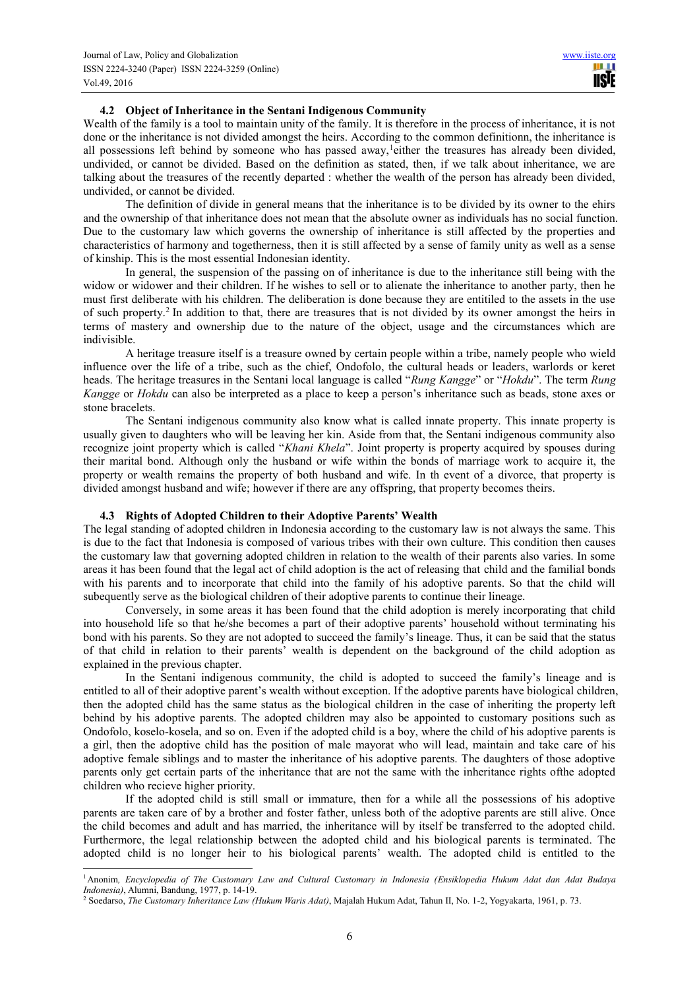### **4.2 Object of Inheritance in the Sentani Indigenous Community**

Wealth of the family is a tool to maintain unity of the family. It is therefore in the process of inheritance, it is not done or the inheritance is not divided amongst the heirs. According to the common definitionn, the inheritance is all possessions left behind by someone who has passed away,<sup>1</sup>either the treasures has already been divided, undivided, or cannot be divided. Based on the definition as stated, then, if we talk about inheritance, we are talking about the treasures of the recently departed : whether the wealth of the person has already been divided, undivided, or cannot be divided.

The definition of divide in general means that the inheritance is to be divided by its owner to the ehirs and the ownership of that inheritance does not mean that the absolute owner as individuals has no social function. Due to the customary law which governs the ownership of inheritance is still affected by the properties and characteristics of harmony and togetherness, then it is still affected by a sense of family unity as well as a sense of kinship. This is the most essential Indonesian identity.

In general, the suspension of the passing on of inheritance is due to the inheritance still being with the widow or widower and their children. If he wishes to sell or to alienate the inheritance to another party, then he must first deliberate with his children. The deliberation is done because they are entitiled to the assets in the use of such property.<sup>2</sup> In addition to that, there are treasures that is not divided by its owner amongst the heirs in terms of mastery and ownership due to the nature of the object, usage and the circumstances which are indivisible.

A heritage treasure itself is a treasure owned by certain people within a tribe, namely people who wield influence over the life of a tribe, such as the chief, Ondofolo, the cultural heads or leaders, warlords or keret heads. The heritage treasures in the Sentani local language is called "*Rung Kangge*" or "*Hokdu*". The term *Rung Kangge* or *Hokdu* can also be interpreted as a place to keep a person's inheritance such as beads, stone axes or stone bracelets.

The Sentani indigenous community also know what is called innate property. This innate property is usually given to daughters who will be leaving her kin. Aside from that, the Sentani indigenous community also recognize joint property which is called "*Khani Khela*". Joint property is property acquired by spouses during their marital bond. Although only the husband or wife within the bonds of marriage work to acquire it, the property or wealth remains the property of both husband and wife. In th event of a divorce, that property is divided amongst husband and wife; however if there are any offspring, that property becomes theirs.

## **4.3 Rights of Adopted Children to their Adoptive Parents' Wealth**

The legal standing of adopted children in Indonesia according to the customary law is not always the same. This is due to the fact that Indonesia is composed of various tribes with their own culture. This condition then causes the customary law that governing adopted children in relation to the wealth of their parents also varies. In some areas it has been found that the legal act of child adoption is the act of releasing that child and the familial bonds with his parents and to incorporate that child into the family of his adoptive parents. So that the child will subequently serve as the biological children of their adoptive parents to continue their lineage.

Conversely, in some areas it has been found that the child adoption is merely incorporating that child into household life so that he/she becomes a part of their adoptive parents' household without terminating his bond with his parents. So they are not adopted to succeed the family's lineage. Thus, it can be said that the status of that child in relation to their parents' wealth is dependent on the background of the child adoption as explained in the previous chapter.

In the Sentani indigenous community, the child is adopted to succeed the family's lineage and is entitled to all of their adoptive parent's wealth without exception. If the adoptive parents have biological children, then the adopted child has the same status as the biological children in the case of inheriting the property left behind by his adoptive parents. The adopted children may also be appointed to customary positions such as Ondofolo, koselo-kosela, and so on. Even if the adopted child is a boy, where the child of his adoptive parents is a girl, then the adoptive child has the position of male mayorat who will lead, maintain and take care of his adoptive female siblings and to master the inheritance of his adoptive parents. The daughters of those adoptive parents only get certain parts of the inheritance that are not the same with the inheritance rights ofthe adopted children who recieve higher priority.

If the adopted child is still small or immature, then for a while all the possessions of his adoptive parents are taken care of by a brother and foster father, unless both of the adoptive parents are still alive. Once the child becomes and adult and has married, the inheritance will by itself be transferred to the adopted child. Furthermore, the legal relationship between the adopted child and his biological parents is terminated. The adopted child is no longer heir to his biological parents' wealth. The adopted child is entitled to the

 $\overline{a}$ <sup>1</sup>Anonim*, Encyclopedia of The Customary Law and Cultural Customary in Indonesia (Ensiklopedia Hukum Adat dan Adat Budaya Indonesia)*, Alumni, Bandung, 1977, p. 14-19.

<sup>2</sup> Soedarso, *The Customary Inheritance Law (Hukum Waris Adat)*, Majalah Hukum Adat, Tahun II, No. 1-2, Yogyakarta, 1961, p. 73.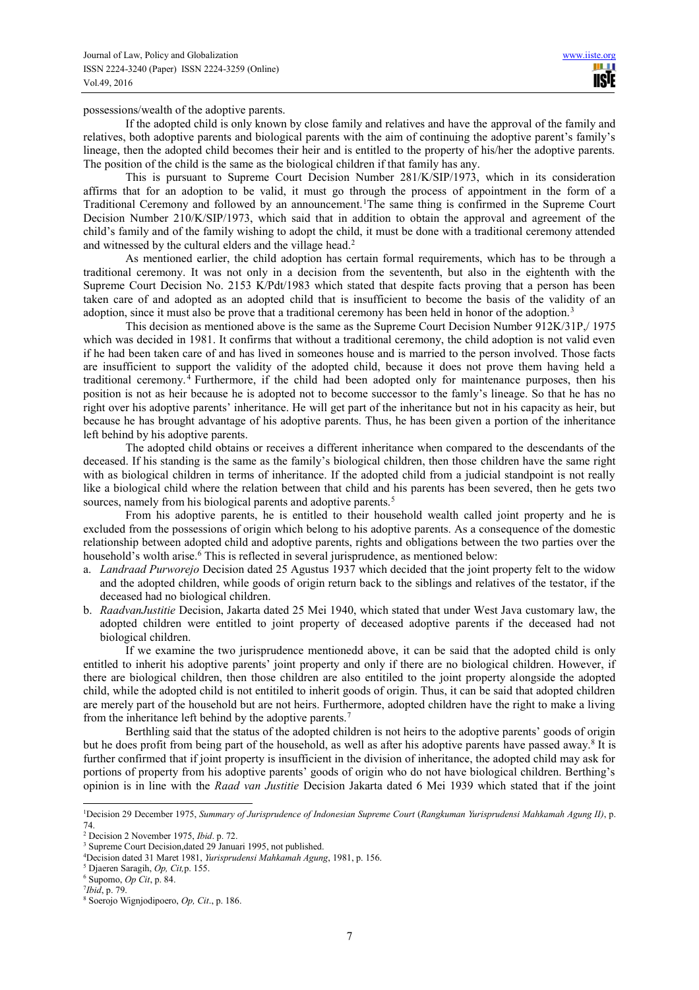possessions/wealth of the adoptive parents.

If the adopted child is only known by close family and relatives and have the approval of the family and relatives, both adoptive parents and biological parents with the aim of continuing the adoptive parent's family's lineage, then the adopted child becomes their heir and is entitled to the property of his/her the adoptive parents. The position of the child is the same as the biological children if that family has any.

This is pursuant to Supreme Court Decision Number 281/K/SIP/1973, which in its consideration affirms that for an adoption to be valid, it must go through the process of appointment in the form of a Traditional Ceremony and followed by an announcement.<sup>1</sup>The same thing is confirmed in the Supreme Court Decision Number 210/K/SIP/1973, which said that in addition to obtain the approval and agreement of the child's family and of the family wishing to adopt the child, it must be done with a traditional ceremony attended and witnessed by the cultural elders and the village head.<sup>2</sup>

As mentioned earlier, the child adoption has certain formal requirements, which has to be through a traditional ceremony. It was not only in a decision from the sevententh, but also in the eightenth with the Supreme Court Decision No. 2153 K/Pdt/1983 which stated that despite facts proving that a person has been taken care of and adopted as an adopted child that is insufficient to become the basis of the validity of an adoption, since it must also be prove that a traditional ceremony has been held in honor of the adoption.<sup>3</sup>

This decision as mentioned above is the same as the Supreme Court Decision Number 912K/31P,/ 1975 which was decided in 1981. It confirms that without a traditional ceremony, the child adoption is not valid even if he had been taken care of and has lived in someones house and is married to the person involved. Those facts are insufficient to support the validity of the adopted child, because it does not prove them having held a traditional ceremony.<sup>4</sup> Furthermore, if the child had been adopted only for maintenance purposes, then his position is not as heir because he is adopted not to become successor to the famly's lineage. So that he has no right over his adoptive parents' inheritance. He will get part of the inheritance but not in his capacity as heir, but because he has brought advantage of his adoptive parents. Thus, he has been given a portion of the inheritance left behind by his adoptive parents.

The adopted child obtains or receives a different inheritance when compared to the descendants of the deceased. If his standing is the same as the family's biological children, then those children have the same right with as biological children in terms of inheritance. If the adopted child from a judicial standpoint is not really like a biological child where the relation between that child and his parents has been severed, then he gets two sources, namely from his biological parents and adoptive parents.<sup>5</sup>

From his adoptive parents, he is entitled to their household wealth called joint property and he is excluded from the possessions of origin which belong to his adoptive parents. As a consequence of the domestic relationship between adopted child and adoptive parents, rights and obligations between the two parties over the household's wolth arise.<sup>6</sup> This is reflected in several jurisprudence, as mentioned below:

- a. *Landraad Purworejo* Decision dated 25 Agustus 1937 which decided that the joint property felt to the widow and the adopted children, while goods of origin return back to the siblings and relatives of the testator, if the deceased had no biological children.
- b. *RaadvanJustitie* Decision, Jakarta dated 25 Mei 1940, which stated that under West Java customary law, the adopted children were entitled to joint property of deceased adoptive parents if the deceased had not biological children.

If we examine the two jurisprudence mentionedd above, it can be said that the adopted child is only entitled to inherit his adoptive parents' joint property and only if there are no biological children. However, if there are biological children, then those children are also entitiled to the joint property alongside the adopted child, while the adopted child is not entitiled to inherit goods of origin. Thus, it can be said that adopted children are merely part of the household but are not heirs. Furthermore, adopted children have the right to make a living from the inheritance left behind by the adoptive parents.<sup>7</sup>

Berthling said that the status of the adopted children is not heirs to the adoptive parents' goods of origin but he does profit from being part of the household, as well as after his adoptive parents have passed away.<sup>8</sup> It is further confirmed that if joint property is insufficient in the division of inheritance, the adopted child may ask for portions of property from his adoptive parents' goods of origin who do not have biological children. Berthing's opinion is in line with the *Raad van Justitie* Decision Jakarta dated 6 Mei 1939 which stated that if the joint

 $\overline{a}$ <sup>1</sup>Decision 29 December 1975, *Summary of Jurisprudence of Indonesian Supreme Court* (*Rangkuman Yurisprudensi Mahkamah Agung II)*, p. 74.

<sup>2</sup> Decision 2 November 1975, *Ibid*. p. 72.

<sup>&</sup>lt;sup>3</sup> Supreme Court Decision, dated 29 Januari 1995, not published.

<sup>4</sup>Decision dated 31 Maret 1981, *Yurisprudensi Mahkamah Agung*, 1981, p. 156.

<sup>5</sup> Djaeren Saragih, *Op, Cit,*p. 155.

<sup>6</sup> Supomo, *Op Cit*, p. 84.

<sup>7</sup> *Ibid*, p. 79.

<sup>8</sup> Soerojo Wignjodipoero, *Op, Cit*., p. 186.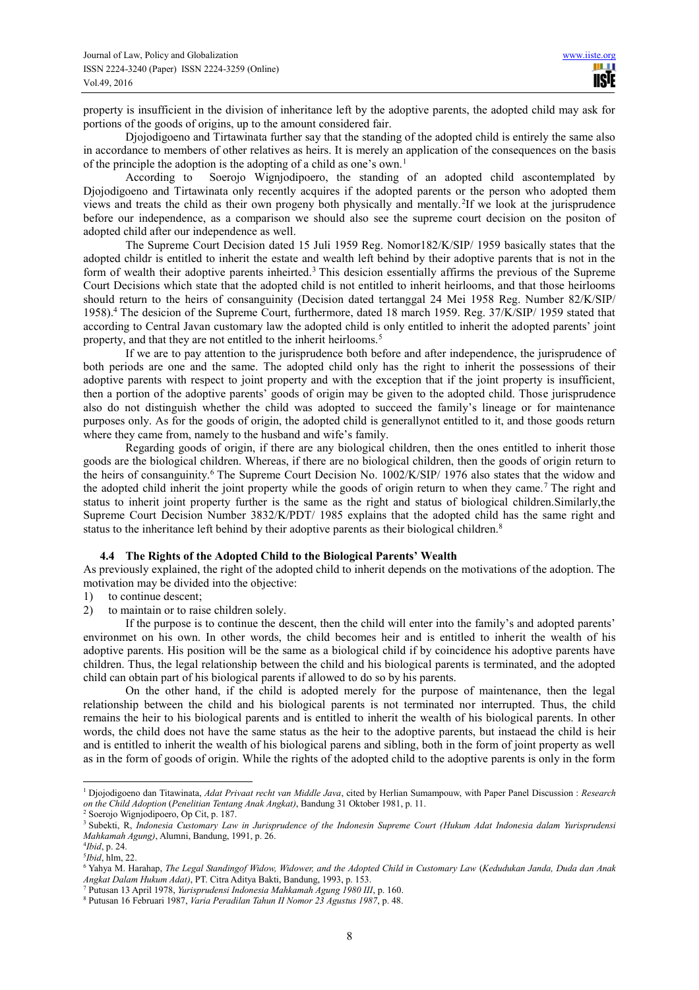property is insufficient in the division of inheritance left by the adoptive parents, the adopted child may ask for portions of the goods of origins, up to the amount considered fair.

Djojodigoeno and Tirtawinata further say that the standing of the adopted child is entirely the same also in accordance to members of other relatives as heirs. It is merely an application of the consequences on the basis of the principle the adoption is the adopting of a child as one's own.<sup>1</sup>

According to Soerojo Wignjodipoero, the standing of an adopted child ascontemplated by Djojodigoeno and Tirtawinata only recently acquires if the adopted parents or the person who adopted them views and treats the child as their own progeny both physically and mentally.<sup>2</sup>If we look at the jurisprudence before our independence, as a comparison we should also see the supreme court decision on the positon of adopted child after our independence as well.

The Supreme Court Decision dated 15 Juli 1959 Reg. Nomor182/K/SIP/ 1959 basically states that the adopted childr is entitled to inherit the estate and wealth left behind by their adoptive parents that is not in the form of wealth their adoptive parents inheirted.<sup>3</sup> This desicion essentially affirms the previous of the Supreme Court Decisions which state that the adopted child is not entitled to inherit heirlooms, and that those heirlooms should return to the heirs of consanguinity (Decision dated tertanggal 24 Mei 1958 Reg. Number 82/K/SIP/ 1958).<sup>4</sup> The desicion of the Supreme Court, furthermore, dated 18 march 1959. Reg. 37/K/SIP/ 1959 stated that according to Central Javan customary law the adopted child is only entitled to inherit the adopted parents' joint property, and that they are not entitled to the inherit heirlooms.<sup>5</sup>

If we are to pay attention to the jurisprudence both before and after independence, the jurisprudence of both periods are one and the same. The adopted child only has the right to inherit the possessions of their adoptive parents with respect to joint property and with the exception that if the joint property is insufficient, then a portion of the adoptive parents' goods of origin may be given to the adopted child. Those jurisprudence also do not distinguish whether the child was adopted to succeed the family's lineage or for maintenance purposes only. As for the goods of origin, the adopted child is generallynot entitled to it, and those goods return where they came from, namely to the husband and wife's family.

Regarding goods of origin, if there are any biological children, then the ones entitled to inherit those goods are the biological children. Whereas, if there are no biological children, then the goods of origin return to the heirs of consanguinity.<sup>6</sup> The Supreme Court Decision No. 1002/K/SIP/ 1976 also states that the widow and the adopted child inherit the joint property while the goods of origin return to when they came.<sup>7</sup> The right and status to inherit joint property further is the same as the right and status of biological children.Similarly,the Supreme Court Decision Number 3832/K/PDT/ 1985 explains that the adopted child has the same right and status to the inheritance left behind by their adoptive parents as their biological children.<sup>8</sup>

#### **4.4 The Rights of the Adopted Child to the Biological Parents' Wealth**

As previously explained, the right of the adopted child to inherit depends on the motivations of the adoption. The motivation may be divided into the objective:

- 1) to continue descent;
- 2) to maintain or to raise children solely.

If the purpose is to continue the descent, then the child will enter into the family's and adopted parents' environmet on his own. In other words, the child becomes heir and is entitled to inherit the wealth of his adoptive parents. His position will be the same as a biological child if by coincidence his adoptive parents have children. Thus, the legal relationship between the child and his biological parents is terminated, and the adopted child can obtain part of his biological parents if allowed to do so by his parents.

On the other hand, if the child is adopted merely for the purpose of maintenance, then the legal relationship between the child and his biological parents is not terminated nor interrupted. Thus, the child remains the heir to his biological parents and is entitled to inherit the wealth of his biological parents. In other words, the child does not have the same status as the heir to the adoptive parents, but instaead the child is heir and is entitled to inherit the wealth of his biological parens and sibling, both in the form of joint property as well as in the form of goods of origin. While the rights of the adopted child to the adoptive parents is only in the form

 $\overline{a}$ 

<sup>1</sup> Djojodigoeno dan Titawinata, *Adat Privaat recht van Middle Java*, cited by Herlian Sumampouw, with Paper Panel Discussion : *Research on the Child Adoption* (*Penelitian Tentang Anak Angkat)*, Bandung 31 Oktober 1981, p. 11.

<sup>2</sup> Soerojo Wignjodipoero, Op Cit, p. 187.

<sup>3</sup> Subekti, R, *Indonesia Customary Law in Jurisprudence of the Indonesin Supreme Court (Hukum Adat Indonesia dalam Yurisprudensi Mahkamah Agung)*, Alumni, Bandung, 1991, p. 26.

<sup>4</sup> *Ibid*, p. 24. 5 *Ibid*, hlm, 22.

<sup>&</sup>lt;sup>6</sup> Yahya M. Harahap, *The Legal Standingof Widow, Widower, and the Adopted Child in Customary Law (Kedudukan Janda, Duda dan Anak* 

*Angkat Dalam Hukum Adat)*, PT. Citra Aditya Bakti, Bandung, 1993, p. 153. 7 Putusan 13 April 1978, *Yurisprudensi Indonesia Mahkamah Agung 1980 III*, p. 160.

<sup>8</sup> Putusan 16 Februari 1987, *Varia Peradilan Tahun II Nomor 23 Agustus 1987*, p. 48.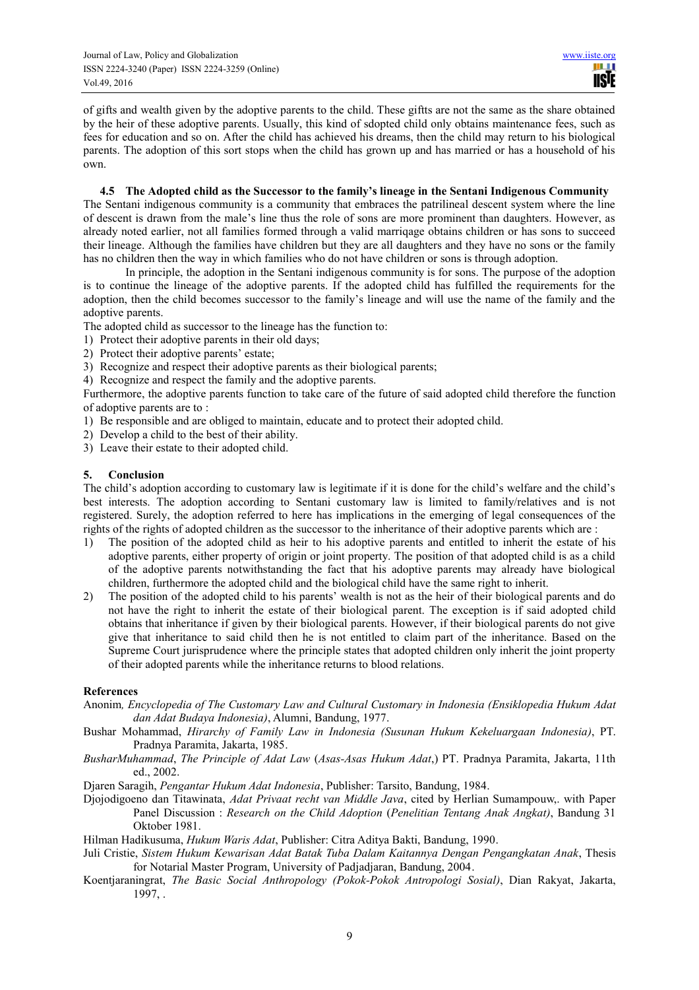of gifts and wealth given by the adoptive parents to the child. These giftts are not the same as the share obtained by the heir of these adoptive parents. Usually, this kind of sdopted child only obtains maintenance fees, such as fees for education and so on. After the child has achieved his dreams, then the child may return to his biological parents. The adoption of this sort stops when the child has grown up and has married or has a household of his own.

## **4.5 The Adopted child as the Successor to the family's lineage in the Sentani Indigenous Community**

The Sentani indigenous community is a community that embraces the patrilineal descent system where the line of descent is drawn from the male's line thus the role of sons are more prominent than daughters. However, as already noted earlier, not all families formed through a valid marriqage obtains children or has sons to succeed their lineage. Although the families have children but they are all daughters and they have no sons or the family has no children then the way in which families who do not have children or sons is through adoption.

In principle, the adoption in the Sentani indigenous community is for sons. The purpose of the adoption is to continue the lineage of the adoptive parents. If the adopted child has fulfilled the requirements for the adoption, then the child becomes successor to the family's lineage and will use the name of the family and the adoptive parents.

The adopted child as successor to the lineage has the function to:

- 1) Protect their adoptive parents in their old days;
- 2) Protect their adoptive parents' estate;
- 3) Recognize and respect their adoptive parents as their biological parents;
- 4) Recognize and respect the family and the adoptive parents.

Furthermore, the adoptive parents function to take care of the future of said adopted child therefore the function of adoptive parents are to :

- 1) Be responsible and are obliged to maintain, educate and to protect their adopted child.
- 2) Develop a child to the best of their ability.
- 3) Leave their estate to their adopted child.

## **5. Conclusion**

The child's adoption according to customary law is legitimate if it is done for the child's welfare and the child's best interests. The adoption according to Sentani customary law is limited to family/relatives and is not registered. Surely, the adoption referred to here has implications in the emerging of legal consequences of the rights of the rights of adopted children as the successor to the inheritance of their adoptive parents which are :

- 1) The position of the adopted child as heir to his adoptive parents and entitled to inherit the estate of his adoptive parents, either property of origin or joint property. The position of that adopted child is as a child of the adoptive parents notwithstanding the fact that his adoptive parents may already have biological children, furthermore the adopted child and the biological child have the same right to inherit.
- 2) The position of the adopted child to his parents' wealth is not as the heir of their biological parents and do not have the right to inherit the estate of their biological parent. The exception is if said adopted child obtains that inheritance if given by their biological parents. However, if their biological parents do not give give that inheritance to said child then he is not entitled to claim part of the inheritance. Based on the Supreme Court jurisprudence where the principle states that adopted children only inherit the joint property of their adopted parents while the inheritance returns to blood relations.

### **References**

- Anonim*, Encyclopedia of The Customary Law and Cultural Customary in Indonesia (Ensiklopedia Hukum Adat dan Adat Budaya Indonesia)*, Alumni, Bandung, 1977.
- Bushar Mohammad, *Hirarchy of Family Law in Indonesia (Susunan Hukum Kekeluargaan Indonesia)*, PT. Pradnya Paramita, Jakarta, 1985.
- *BusharMuhammad*, *The Principle of Adat Law* (*Asas-Asas Hukum Adat*,) PT. Pradnya Paramita, Jakarta, 11th ed., 2002.
- Djaren Saragih, *Pengantar Hukum Adat Indonesia*, Publisher: Tarsito, Bandung, 1984.
- Djojodigoeno dan Titawinata, *Adat Privaat recht van Middle Java*, cited by Herlian Sumampouw,. with Paper Panel Discussion : *Research on the Child Adoption* (*Penelitian Tentang Anak Angkat)*, Bandung 31 Oktober 1981.

Hilman Hadikusuma, *Hukum Waris Adat*, Publisher: Citra Aditya Bakti, Bandung, 1990.

- Juli Cristie, *Sistem Hukum Kewarisan Adat Batak Tuba Dalam Kaitannya Dengan Pengangkatan Anak*, Thesis for Notarial Master Program, University of Padjadjaran, Bandung, 2004.
- Koentjaraningrat, *The Basic Social Anthropology (Pokok-Pokok Antropologi Sosial)*, Dian Rakyat, Jakarta, 1997, .